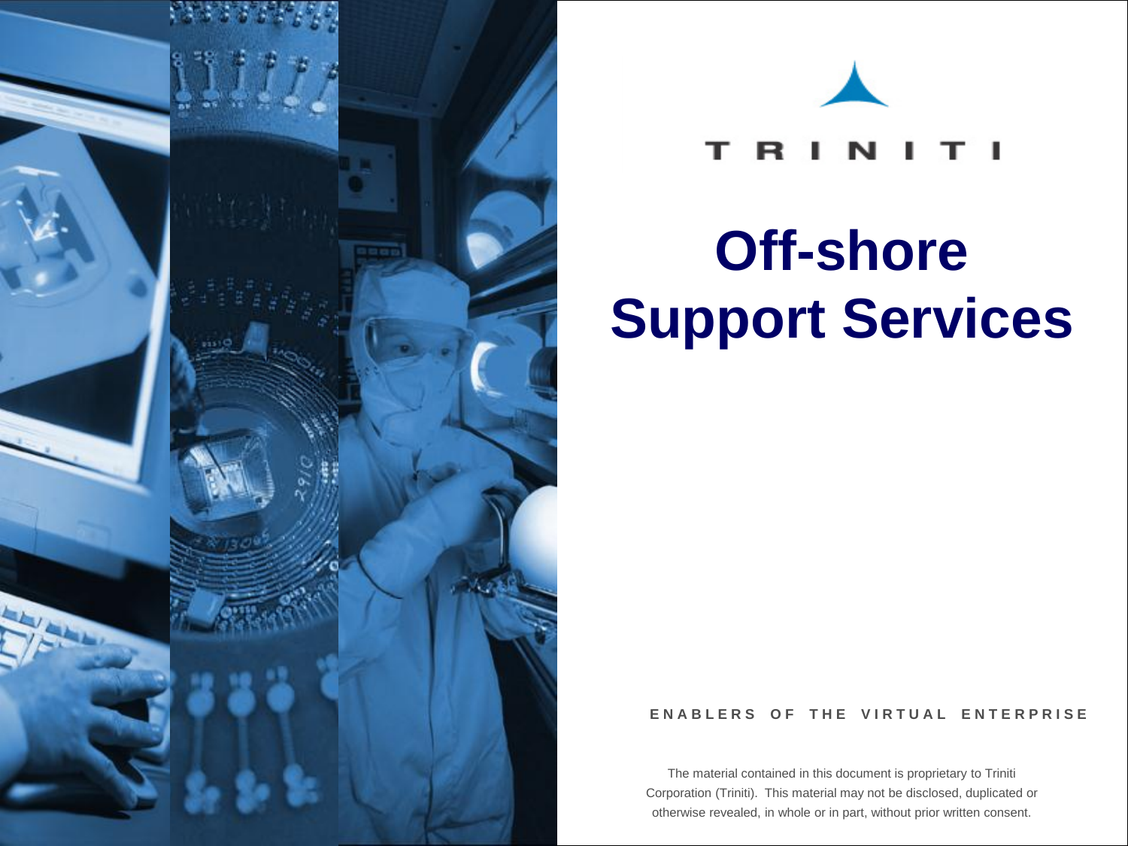



#### т R

# **Off-shore Support Services**

#### **ENABLERS OF THE VIRTUAL ENTERPRISE**

The material contained in this document is proprietary to Triniti Corporation (Triniti). This material may not be disclosed, duplicated or otherwise revealed, in whole or in part, without prior written consent.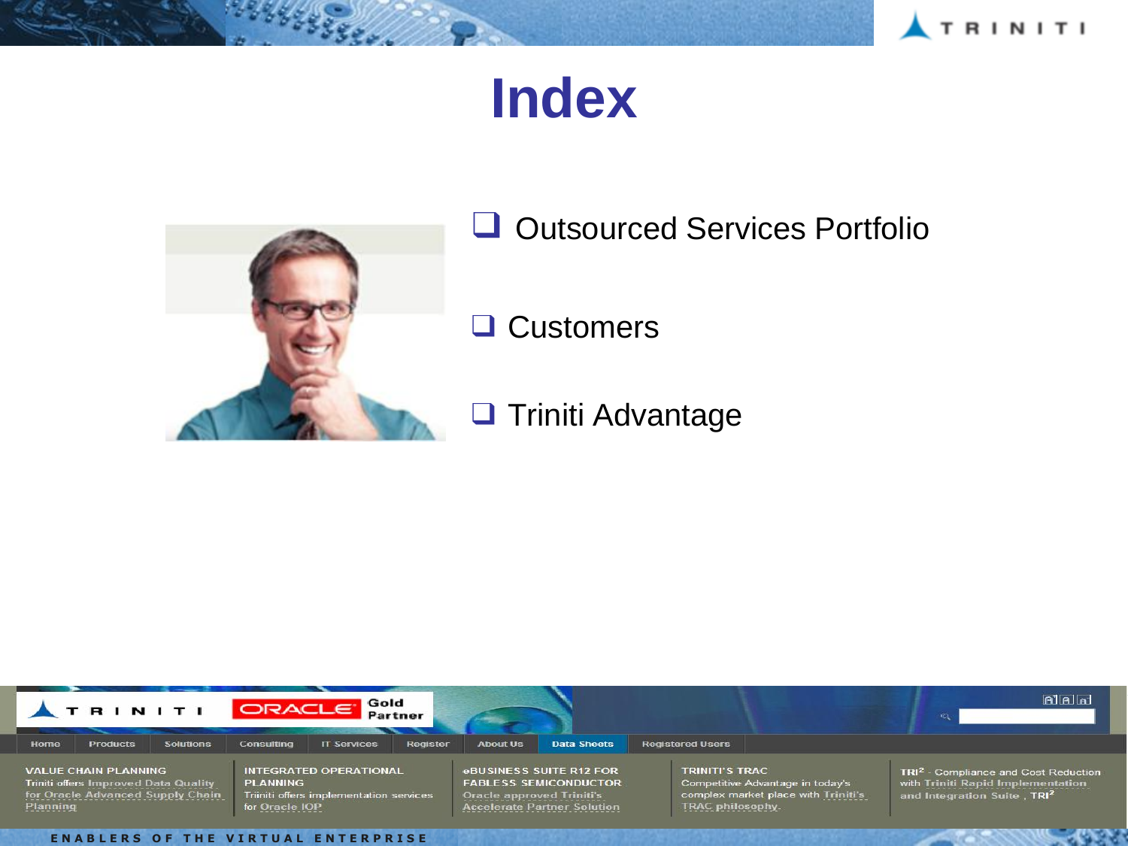

# **Index**



**HALLED SEE** 

□ Outsourced Services Portfolio

❑ Customers

❑ Triniti Advantage

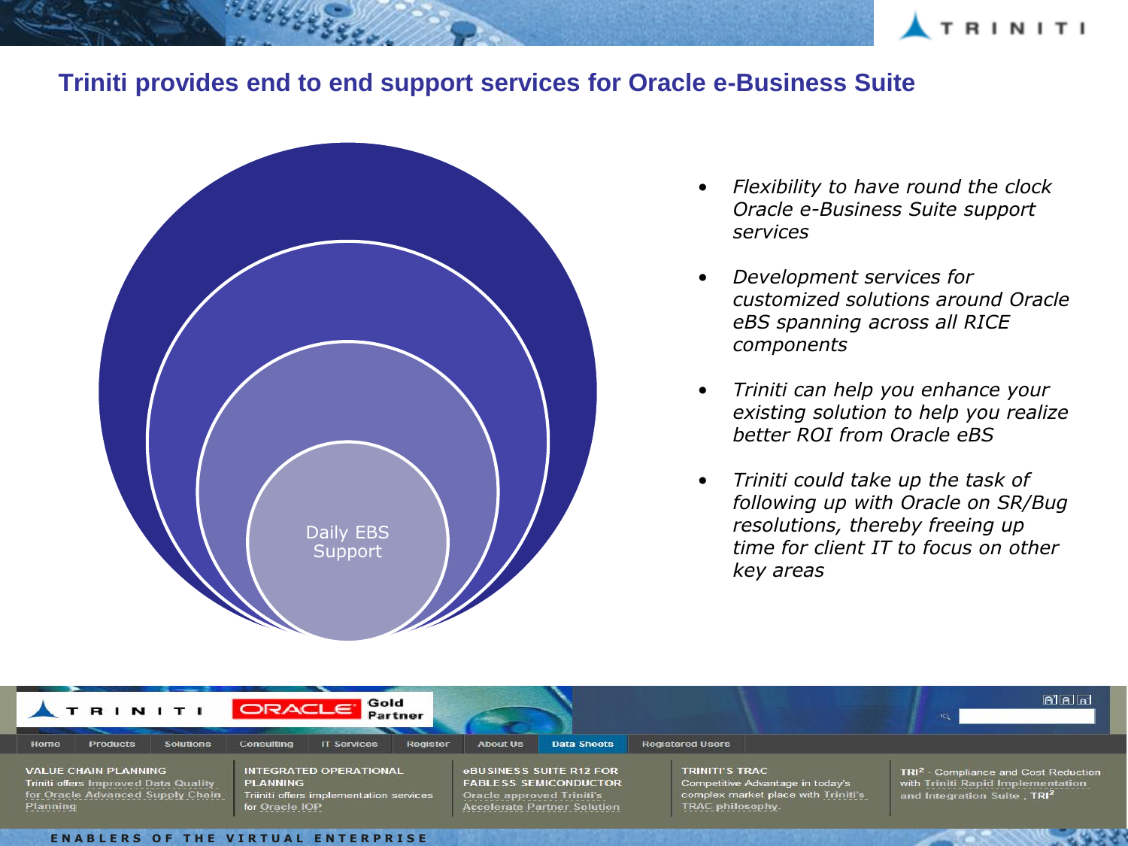

#### **Triniti provides end to end support services for Oracle e-Business Suite**



- *Flexibility to have round the clock Oracle e-Business Suite support services*
- *Development services for customized solutions around Oracle eBS spanning across all RICE components*
- *Triniti can help you enhance your existing solution to help you realize better ROI from Oracle eBS*
- *Triniti could take up the task of following up with Oracle on SR/Bug resolutions, thereby freeing up time for client IT to focus on other key areas*

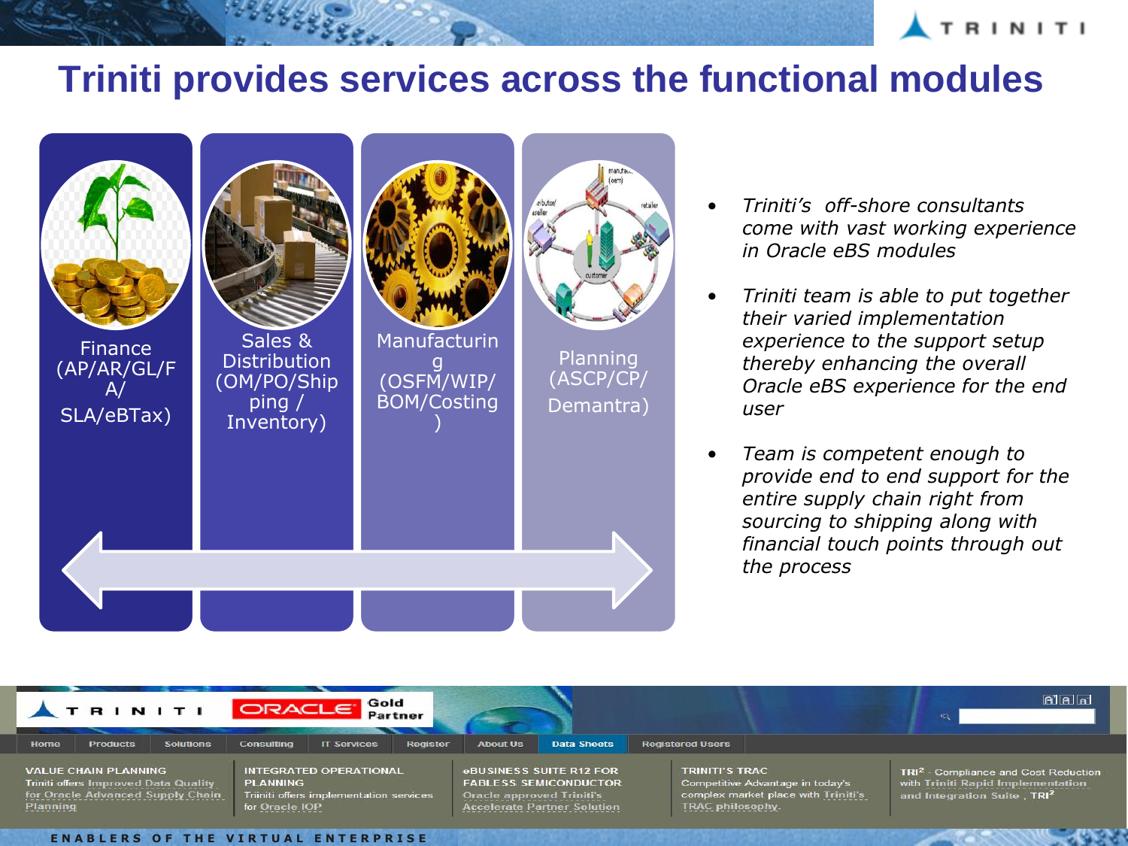

### **Triniti provides services across the functional modules**



- *Triniti's off-shore consultants come with vast working experience in Oracle eBS modules*
- *Triniti team is able to put together their varied implementation experience to the support setup thereby enhancing the overall Oracle eBS experience for the end user*
- *Team is competent enough to provide end to end support for the entire supply chain right from sourcing to shipping along with financial touch points through out the process*

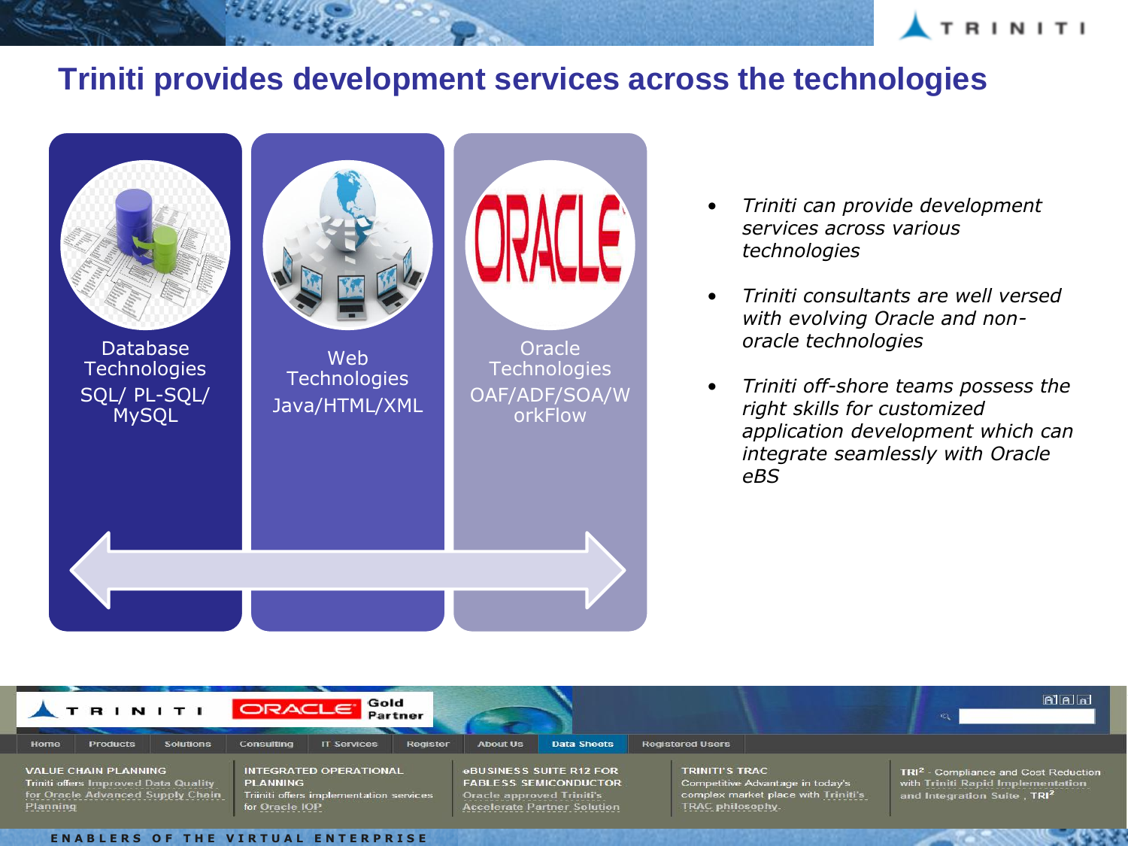

### **Triniti provides development services across the technologies**



- *Triniti can provide development services across various technologies*
- *Triniti consultants are well versed with evolving Oracle and nonoracle technologies*
- *Triniti off-shore teams possess the right skills for customized application development which can integrate seamlessly with Oracle eBS*

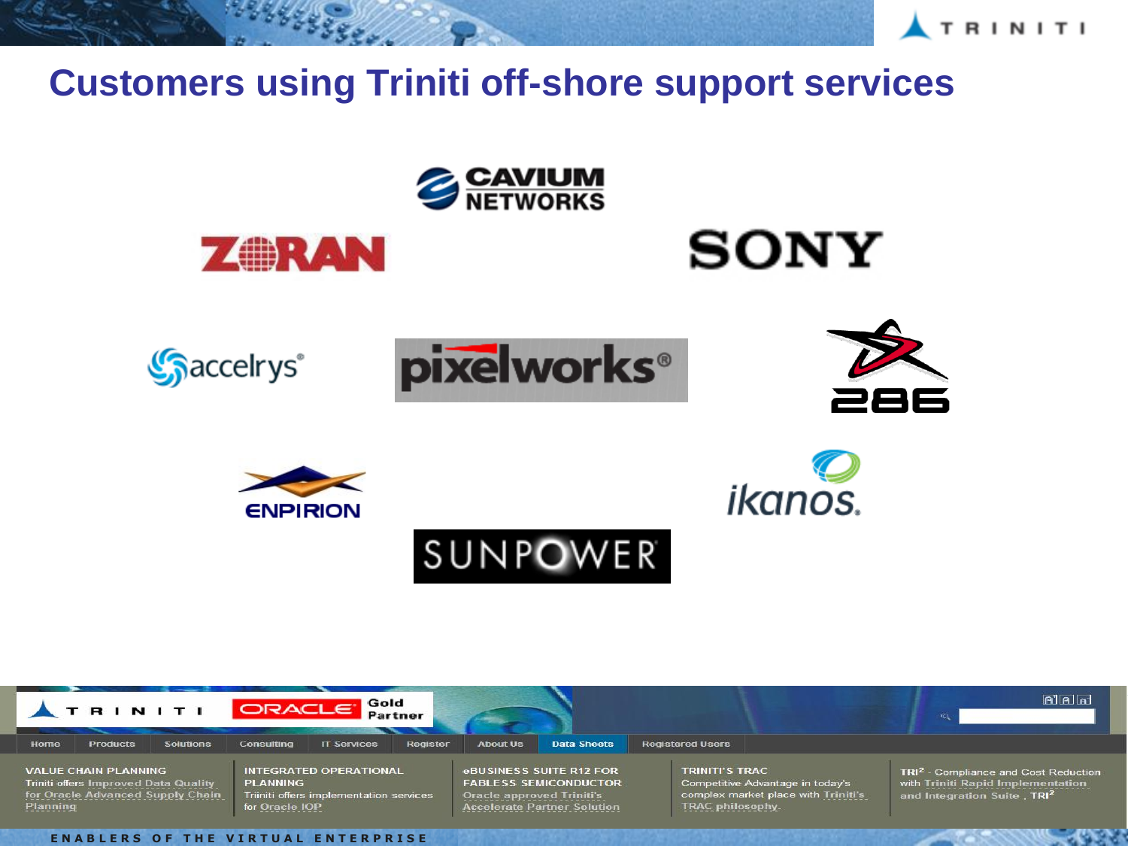

## **Customers using Triniti off-shore support services**





**ENABLERS OF THE VIRTUAL ENTERPRISE**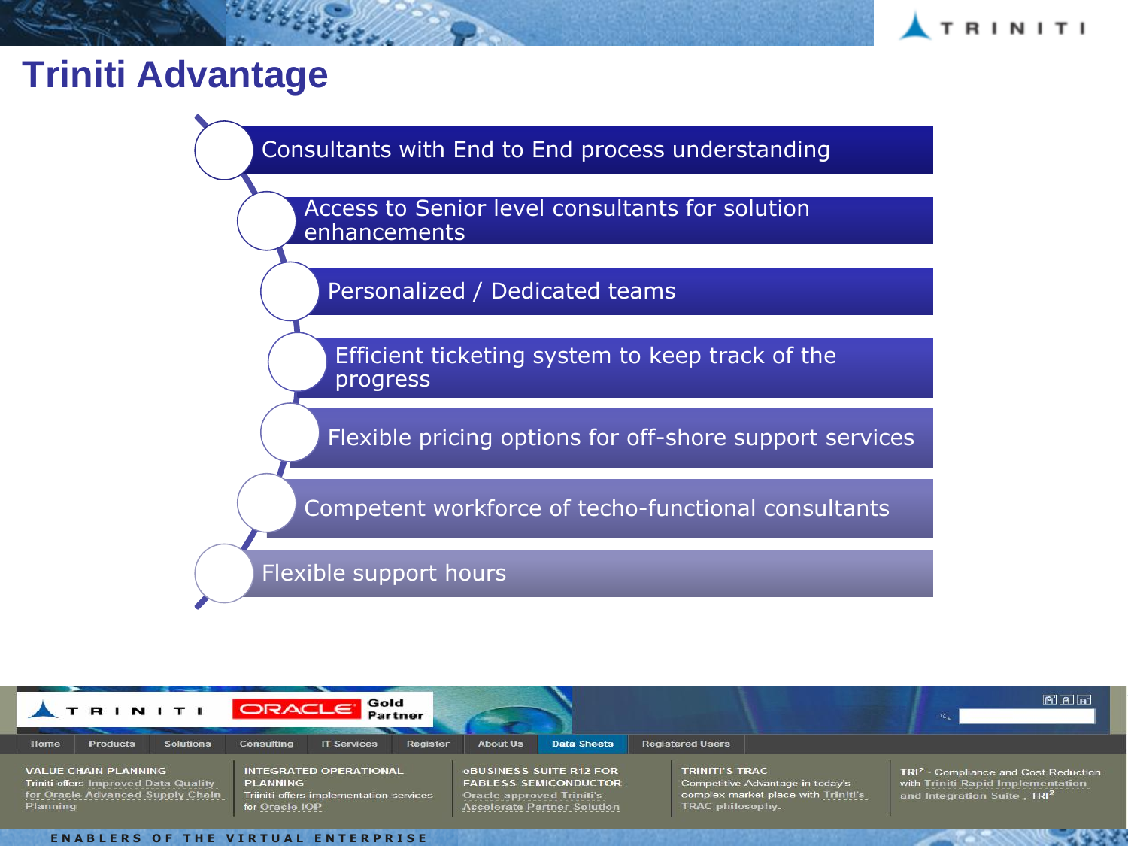

## **Triniti Advantage**

199449999

Consultants with End to End process understanding

Access to Senior level consultants for solution enhancements

Personalized / Dedicated teams

Efficient ticketing system to keep track of the progress

Flexible pricing options for off-shore support services

Competent workforce of techo-functional consultants

Flexible support hours



**ENABLERS OF THE VIRTUAL ENTERPRISE**